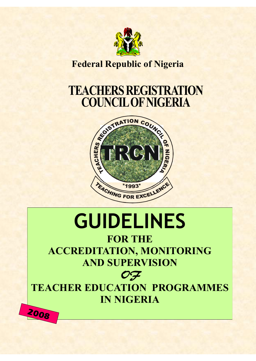

# **Federal Republic of Nigeria**

# **TEACHERS REGISTRATION**



# **GUIDELINES**

**FOR THE ACCREDITATION, MONITORING AND SUPERVISION** 

OF

**TEACHER EDUCATION PROGRAMMES IN NIGERIA**

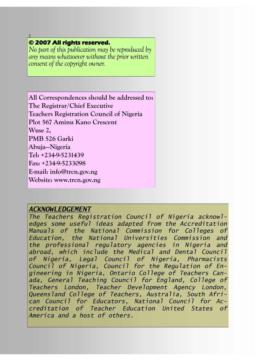### **© 2007 All rights reserved.**

2

*No part of this publication may be reproduced by any means whatsoever without the prior written consent of the copyright owner.*

**All Correspondences should be addressed to: The Registrar/Chief Executive Teachers Registration Council of Nigeria Plot 567 Aminu Kano Crescent Wuse 2, PMB 526 Garki Abuja—Nigeria Tel: +234-9-5231439 Fax: +234-9-5233098 E-mail: info@trcn.gov.ng Website: www.trcn.gov.ng** 

### *ACKNOWLEDGEMENT*

*The Teachers Registration Council of Nigeria acknowledges some useful ideas adapted from the Accreditation Manuals of the National Commission for Colleges of Education, the National Universities Commission and the professional regulatory agencies in Nigeria and abroad, which include the Medical and Dental Council of Nigeria, Legal Council of Nigeria, Pharmacists Council of Nigeria, Council for the Regulation of Engineering in Nigeria, Ontario College of Teachers Canada, General Teaching Council for England, College of Teachers London, Teacher Development Agency London, Queensland College of Teachers, Australia, South African Council for Educators, National Council for Accreditation of Teacher Education United States of America and a host of others.*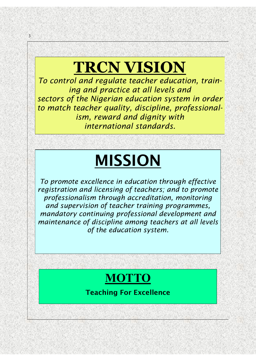# **TRCN VISION**

3

*To control and regulate teacher education, training and practice at all levels and sectors of the Nigerian education system in order to match teacher quality, discipline, professionalism, reward and dignity with international standards.* 

# **MISSION**

*To promote excellence in education through effective registration and licensing of teachers; and to promote professionalism through accreditation, monitoring and supervision of teacher training programmes, mandatory continuing professional development and maintenance of discipline among teachers at all levels of the education system.*

# **MOTTO**

**Teaching For Excellence**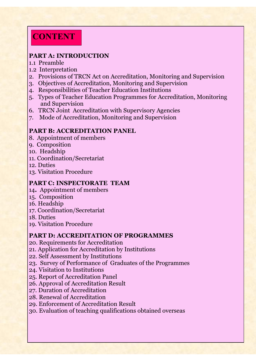# **CONTENT**

### **PART A: INTRODUCTION**

- 1.1 Preamble
- 1.2 Interpretation
- 2. Provisions of TRCN Act on Accreditation, Monitoring and Supervision
- 3. Objectives of Accreditation, Monitoring and Supervision
- 4. Responsibilities of Teacher Education Institutions
- 5. Types of Teacher Education Programmes for Accreditation, Monitoring and Supervision
- 6. TRCN Joint Accreditation with Supervisory Agencies
- 7. Mode of Accreditation, Monitoring and Supervision

### **PART B: ACCREDITATION PANEL**

- 8. Appointment of members
- 9. Composition
- 10. Headship
- 11. Coordination/Secretariat
- 12. Duties
- 13. Visitation Procedure

### **PART C: INSPECTORATE TEAM**

- 14**.** Appointment of members
- 15. Composition
- 16. Headship
- 17. Coordination/Secretariat
- 18. Duties
- 19. Visitation Procedure

### **PART D: ACCREDITATION OF PROGRAMMES**

- 20. Requirements for Accreditation
- 21. Application for Accreditation by Institutions
- 22. Self Assessment by Institutions
- 23. Survey of Performance of Graduates of the Programmes
- 24. Visitation to Institutions
- 25. Report of Accreditation Panel
- 26. Approval of Accreditation Result
- 27. Duration of Accreditation
- 28. Renewal of Accreditation
- 29. Enforcement of Accreditation Result
- 30. Evaluation of teaching qualifications obtained overseas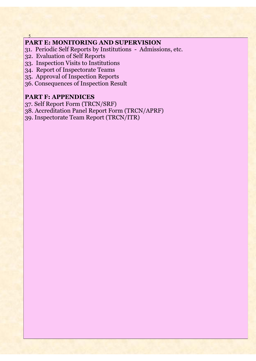### **PART E: MONITORING AND SUPERVISION**

- 31. Periodic Self Reports by Institutions Admissions, etc.
- 32. Evaluation of Self Reports

5

- 33. Inspection Visits to Institutions
- 34. Report of Inspectorate Teams
- 35. Approval of Inspection Reports
- 36. Consequences of Inspection Result

### **PART F: APPENDICES**

- 37. Self Report Form (TRCN/SRF)
- 38. Accreditation Panel Report Form (TRCN/APRF)
- 39. Inspectorate Team Report (TRCN/ITR)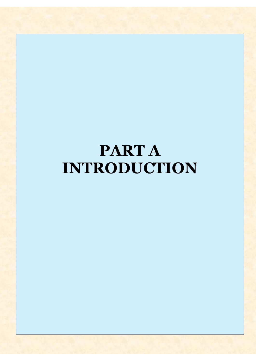# **PART A INTRODUCTION**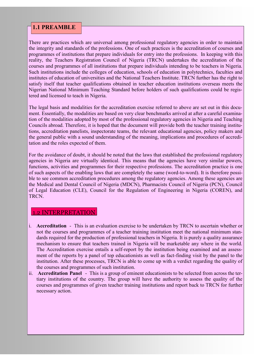### **1.1 PREAMBLE**

There are practices which are universal among professional regulatory agencies in order to maintain the integrity and standards of the professions. One of such practices is the accreditation of courses and programmes of institutions that prepare individuals for entry into the professions. In keeping with this reality, the Teachers Registration Council of Nigeria (TRCN) undertakes the accreditation of the courses and programmes of all institutions that prepare individuals intending to be teachers in Nigeria. Such institutions include the colleges of education, schools of education in polytechnics, faculties and institutes of education of universities and the National Teachers Institute. TRCN further has the right to satisfy itself that teacher qualifications obtained in teacher education institutions overseas meets the Nigerian National Minimum Teaching Standard before holders of such qualifications could be registered and licensed to teach in Nigeria.

The legal basis and modalities for the accreditation exercise referred to above are set out in this document. Essentially, the modalities are based on very clear benchmarks arrived at after a careful examination of the modalities adopted by most of the professional regulatory agencies in Nigeria and Teaching Councils abroad. Therefore, it is hoped that the document will provide both the teacher training institutions, accreditation panelists, inspectorate teams, the relevant educational agencies, policy makers and the general public with a sound understanding of the meaning, implications and procedures of accreditation and the roles expected of them.

For the avoidance of doubt, it should be noted that the laws that established the professional regulatory agencies in Nigeria are virtually identical. This means that the agencies have very similar powers, functions, activities and programmes for their respective professions. The accreditation practice is one of such aspects of the enabling laws that are completely the same (word-to-word). It is therefore possible to see common accreditation procedures among the regulatory agencies. Among these agencies are the Medical and Dental Council of Nigeria (MDCN), Pharmacists Council of Nigeria (PCN), Council of Legal Education (CLE), Council for the Regulation of Engineering in Nigeria (COREN), and TRCN.

#### 1.2 INTERPRETATION

- i. **Accreditation** This is an evaluation exercise to be undertaken by TRCN to ascertain whether or not the courses and programmes of a teacher training institution meet the national minimum standards required for the production of professional teachers in Nigeria. It is purely a quality assurance mechanism to ensure that teachers trained in Nigeria will be marketable any where in the world. The Accreditation exercise entails a self-report by the institution being examined and an assessment of the reports by a panel of top educationists as well as fact-finding visit by the panel to the institution. After these processes, TRCN is able to come up with a verdict regarding the quality of the courses and programmes of such institution.
- ii. **Accreditation Panel**  This is a group of eminent educationists to be selected from across the tertiary institutions of the country. The group will have the authority to assess the quality of the courses and programmes of given teacher training institutions and report back to TRCN for further necessary action.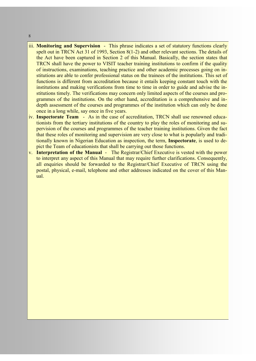iii. **Monitoring and Supervision** - This phrase indicates a set of statutory functions clearly spelt out in TRCN Act 31 of 1993, Section 8(1-2) and other relevant sections. The details of the Act have been captured in Section 2 of this Manual. Basically, the section states that TRCN shall have the power to VISIT teacher training institutions to confirm if the quality of instructions, examinations, teaching practice and other academic processes going on institutions are able to confer professional status on the trainees of the institutions. This set of functions is different from accreditation because it entails keeping constant touch with the institutions and making verifications from time to time in order to guide and advise the institutions timely. The verifications may concern only limited aspects of the courses and programmes of the institutions. On the other hand, accreditation is a comprehensive and indepth assessment of the courses and programmes of the institution which can only be done once in a long while, say once in five years.

- iv. **Inspectorate Team**  As in the case of accreditation, TRCN shall use renowned educationists from the tertiary institutions of the country to play the roles of monitoring and supervision of the courses and programmes of the teacher training institutions. Given the fact that these roles of monitoring and supervision are very close to what is popularly and traditionally known in Nigerian Education as inspection, the term, **Inspectorate**, is used to depict the Team of educationists that shall be carrying out those functions.
- v. **Interpretation of the Manual** The Registrar/Chief Executive is vested with the power to interpret any aspect of this Manual that may require further clarifications. Consequently, all enquiries should be forwarded to the Registrar/Chief Executive of TRCN using the postal, physical, e-mail, telephone and other addresses indicated on the cover of this Manual.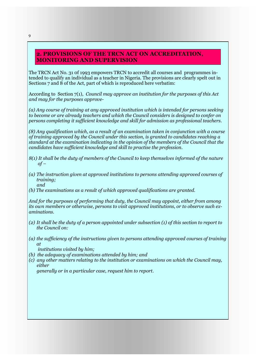#### **2. PROVISIONS OF THE TRCN ACT ON ACCREDITATION, MONITORING AND SUPERVISION**

The TRCN Act No. 31 0f 1993 empowers TRCN to accredit all courses and programmes intended to qualify an individual as a teacher in Nigeria. The provisions are clearly spelt out in Sections 7 and 8 of the Act, part of which is reproduced here verbatim:

According to Section 7(1), *Council may approve an institution for the purposes of this Act and may for the purposes approve-*

*(a) Any course of training at any approved institution which is intended for persons seeking to become or are already teachers and which the Council considers is designed to confer on persons completing it sufficient knowledge and skill for admission as professional teachers.*

*(8) Any qualification which, as a result of an examination taken in conjunction with a course of training approved by the Council under this section, is granted to candidates reaching a standard at the examination indicating in the opinion of the members of the Council that the candidates have sufficient knowledge and skill to practise the profession.*

- *8(1) It shall be the duty of members of the Council to keep themselves informed of the nature*   $of -$
- *(a) The instruction given at approved institutions to persons attending approved courses of training; and*
- *(b) The examinations as a result of which approved qualifications are granted.*

*And for the purposes of performing that duty, the Council may appoint, either from among its own members or otherwise, persons to visit approved institutions, or to observe such examinations.* 

- *(2) It shall be the duty of a person appointed under subsection (1) of this section to report to the Council on:*
- *(a) the sufficiency of the instructions given to persons attending approved courses of training at*

 *institutions visited by him;* 

- *(b) the adequacy of examinations attended by him; and*
- *(c) any other matters relating to the institution or examinations on which the Council may, either*

 *generally or in a particular case, request him to report.*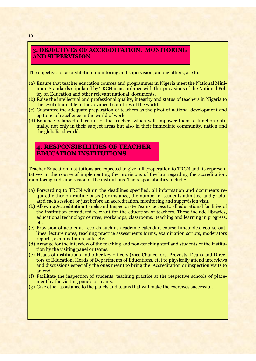#### **3. OBJECTIVES OF ACCREDITATION, MONITORING AND SUPERVISION**

The objectives of accreditation, monitoring and supervision, among others, are to:

- (a) Ensure that teacher education courses and programmes in Nigeria meet the National Minimum Standards stipulated by TRCN in accordance with the provisions of the National Policy on Education and other relevant national documents.
- (b) Raise the intellectual and professional quality, integrity and status of teachers in Nigeria to the level obtainable in the advanced countries of the world.
- (c) Guarantee the adequate preparation of teachers as the pivot of national development and epitome of excellence in the world of work.
- (d) Enhance balanced education of the teachers which will empower them to function optimally, not only in their subject areas but also in their immediate community, nation and the globalised world.

### **4. RESPONSIBILITIES OF TEACHER EDUCATION INSTITUTIONS**

Teacher Education institutions are expected to give full cooperation to TRCN and its representatives in the course of implementing the provisions of the law regarding the accreditation, monitoring and supervision of the institutions. The responsibilities include:

- (a) Forwarding to TRCN within the deadlines specified, all information and documents required either on routine basis (for instance, the number of students admitted and graduated each session) or just before an accreditation, monitoring and supervision visit.
- (b) Allowing Accreditation Panels and Inspectorate Teams access to all educational facilities of the institution considered relevant for the education of teachers. These include libraries, educational technology centres, workshops, classrooms, teaching and learning in progress, etc.
- (c) Provision of academic records such as academic calendar, course timetables, course outlines, lecture notes, teaching practice assessments forms, examination scripts, moderators reports, examination results, etc.
- (d) Arrange for the interview of the teaching and non-teaching staff and students of the institution by the visiting panel or teams.
- (e) Heads of institutions and other key officers (Vice Chancellors, Provosts, Deans and Directors of Education, Heads of Departments of Educations, etc) to physically attend interviews and discussions especially the ones meant to bring the Accreditation or inspection visits to an end.
- (f) Facilitate the inspection of students' teaching practice at the respective schools of placement by the visiting panels or teams.
- (g) Give other assistance to the panels and teams that will make the exercises successful.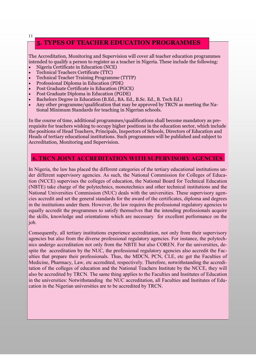### **5. TYPES OF TEACHER EDUCATION PROGRAMMES**

The Accreditation, Monitoring and Supervision will cover all teacher education programmes intended to qualify a person to register as a teacher in Nigeria. These include the following:

- Nigeria Certificate in Education (NCE)
- Technical Teachers Certificate (TTC)
- Technical Teacher Training Programme (TTTP)
- Professional Diploma in Education (PDE)
- Post Graduate Certificate in Education (PGCE)
- Post Graduate Diploma in Education (PGDE)
- Bachelors Degree in Education (B.Ed., BA. Ed., B.Sc. Ed., B. Tech Ed.)
- Any other programme/qualification that may be approved by TRCN as meeting the National Minimum Standards for teaching in Nigerian schools.

In the course of time, additional programmes/qualifications shall become mandatory as prerequisite for teachers wishing to occupy higher positions in the education sector, which include the positions of Head Teachers, Principals, Inspectors of Schools, Directors of Education and Heads of tertiary educational institutions. Such programmes will be published and subject to Accreditation, Monitoring and Supervision.

#### **6. TRCN JOINT ACCREDITATION WITH SUPERVISORY AGENCIES**

In Nigeria, the law has placed the different categories of the tertiary educational institutions under different supervisory agencies. As such, the National Commission for Colleges of Education (NCCE) supervises the colleges of education, the National Board for Technical Education (NBTE) take charge of the polytechnics, monotechnics and other technical institutions and the National Universities Commission (NUC) deals with the universities. These supervisory agencies accredit and set the general standards for the award of the certificates, diploma and degrees in the institutions under them. However, the law requires the professional regulatory agencies to equally accredit the programmes to satisfy themselves that the intending professionals acquire the skills, knowledge and orientations which are necessary for excellent performance on the job.

Consequently, all tertiary institutions experience accreditation, not only from their supervisory agencies but also from the diverse professional regulatory agencies. For instance, the polytechnics undergo accreditation not only from the NBTE but also COREN. For the universities, despite the accreditation by the NUC, the professional regulatory agencies also accredit the Faculties that prepare their professionals. Thus, the MDCN, PCN, CLE, etc get the Faculties of Medicine, Pharmacy, Law, etc accredited, respectively. Therefore, notwithstanding the accreditation of the colleges of education and the National Teachers Institute by the NCCE, they will also be accredited by TRCN. The same thing applies to the Faculties and Institutes of Education in the universities: Notwithstanding the NUC accreditation, all Faculties and Institutes of Education in the Nigerian universities are to be accredited by TRCN.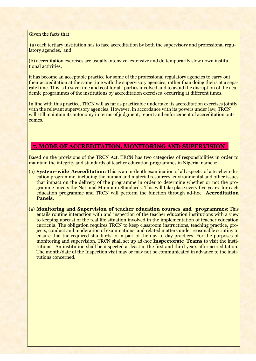#### Given the facts that:

(a) each tertiary institution has to face accreditation by both the supervisory and professional regulatory agencies, and

(b) accreditation exercises are usually intensive, extensive and do temporarily slow down institutional activities,

it has become an acceptable practice for some of the professional regulatory agencies to carry out their accreditation at the same time with the supervisory agencies, rather than doing theirs at a separate time. This is to save time and cost for all parties involved and to avoid the disruption of the academic programmes of the institutions by accreditation exercises occurring at different times.

In line with this practice, TRCN will as far as practicable undertake its accreditation exercises jointly with the relevant supervisory agencies. However, in accordance with its powers under law, TRCN will still maintain its autonomy in terms of judgment, report and enforcement of accreditation outcomes.

#### **7. MODE OF ACCREDITATION, MONITORING AND SUPERVISION**

Based on the provisions of the TRCN Act, TRCN has two categories of responsibilities in order to maintain the integrity and standards of teacher education programmes in Nigeria, namely:

- (a) **System–wide Accreditation:** This is an in-depth examination of all aspects of a teacher education programme, including the human and material resources, environmental and other issues that impact on the delivery of the programme in order to determine whether or not the programme meets the National Minimum Standards. This will take place every five years for each education programme and TRCN will perform the function through ad-hoc **Accreditation Panels**.
- (a) **Monitoring and Supervision of teacher education courses and programmes:** This entails routine interaction with and inspection of the teacher education institutions with a view to keeping abreast of the real life situation involved in the implementation of teacher education curricula. The obligation requires TRCN to keep classroom instructions, teaching practice, projects, conduct and moderation of examinations, and related matters under reasonable scrutiny to ensure that the required standards form part of the day-to-day practices. For the purposes of monitoring and supervision, TRCN shall set up ad-hoc **Inspectorate Teams** to visit the institutions. An institution shall be inspected at least in the first and third years after accreditation. The month/date of the Inspection visit may or may not be communicated in advance to the institutions concerned.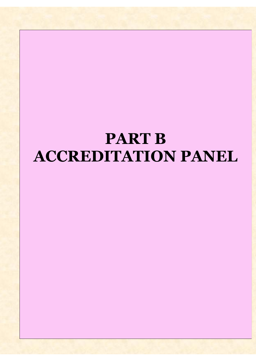# **PART B ACCREDITATION PANEL**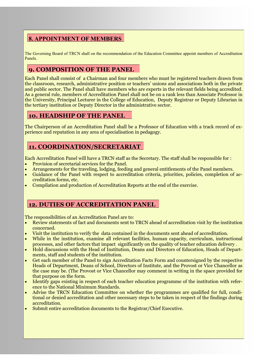### **8. APPOINTMENT OF MEMBERS**

The Governing Board of TRCN shall on the recommendation of the Education Committee appoint members of Accreditation Panels.

### **9. COMPOSITION OF THE PANEL**

Each Panel shall consist of a Chairman and four members who must be registered teachers drawn from the classroom, research, administrative position or teachers' unions and associations both in the private and public sector. The Panel shall have members who are experts in the relevant fields being accredited. As a general rule, members of Accreditation Panel shall not be on a rank less than Associate Professor in the University, Principal Lecturer in the College of Education, Deputy Registrar or Deputy Librarian in the tertiary institution or Deputy Director in the administrative sector.

### **10. HEADSHIP OF THE PANEL**

The Chairperson of an Accreditation Panel shall be a Professor of Education with a track record of experience and reputation in any area of specialisation in pedagogy.

### **11. COORDINATION/SECRETARIAT**

Each Accreditation Panel will have a TRCN staff as the Secretary. The staff shall be responsible for :

- Provision of secretarial services for the Panel.
- Arrangements for the traveling, lodging, feeding and general entitlements of the Panel members.
- Guidance of the Panel with respect to accreditation criteria, priorities, policies, completion of accreditation forms, etc.
- Compilation and production of Accreditation Reports at the end of the exercise.

### **12. DUTIES OF ACCREDITATION PANEL**

The responsibilities of an Accreditation Panel are to:

- Review statements of fact and documents sent to TRCN ahead of accreditation visit by the institution concerned.
- Visit the institution to verify the data contained in the documents sent ahead of accreditation.
- While in the institution, examine all relevant facilities, human capacity, curriculum, instructional processes, and other factors that impact significantly on the quality of teacher education delivery .
- Hold discussions with the Head of Institution, Deans and Directors of Education, Heads of Departments, staff and students of the institution.
- Get each member of the Panel to sign Accreditation Facts Form and countersigned by the respective Heads of Department, Deans of School, Directors of Institute, and the Provost or Vice Chancellor as the case may be. (The Provost or Vice Chancellor may comment in writing in the space provided for that purpose on the form.
- Identify gaps existing in respect of each teacher education programme of the institution with reference to the National Minimum Standards.
- Advise the TRCN Education Committee on whether the programmes are qualified for full, conditional or denied accreditation and other necessary steps to be taken in respect of the findings during accreditation.
- Submit entire accreditation documents to the Registrar/Chief Executive.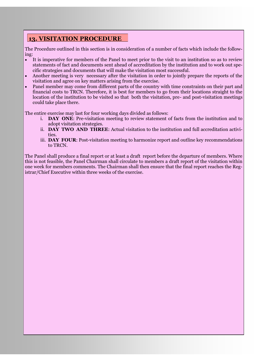### 15 **13. VISITATION PROCEDURE**

The Procedure outlined in this section is in consideration of a number of facts which include the following:

- It is imperative for members of the Panel to meet prior to the visit to an institution so as to review statements of fact and documents sent ahead of accreditation by the institution and to work out specific strategies and documents that will make the visitation most successful.
- Another meeting is very necessary after the visitation in order to jointly prepare the reports of the visitation and agree on key matters arising from the exercise.
- Panel member may come from different parts of the country with time constraints on their part and financial costs to TRCN. Therefore, it is best for members to go from their locations straight to the location of the institution to be visited so that both the visitation, pre- and post-visitation meetings could take place there.

The entire exercise may last for four working days divided as follows:

- i. **DAY ONE**: Pre-visitation meeting to review statement of facts from the institution and to adopt visitation strategies.
- ii. **DAY TWO AND THREE**: Actual visitation to the institution and full accreditation activities.
- iii. **DAY FOUR**: Post-visitation meeting to harmonize report and outline key recommendations to TRCN.

The Panel shall produce a final report or at least a draft report before the departure of members. Where this is not feasible, the Panel Chairman shall circulate to members a draft report of the visitation within one week for members comments. The Chairman shall then ensure that the final report reaches the Registrar/Chief Executive within three weeks of the exercise.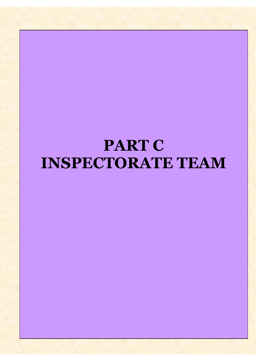# **PART C INSPECTORATE TEAM**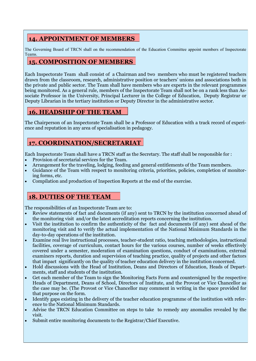### **14. APPOINTMENT OF MEMBERS**

The Governing Board of TRCN shall on the recommendation of the Education Committee appoint members of Inspectorate Teams.

### **15. COMPOSITION OF MEMBERS**

Each Inspectorate Team shall consist of a Chairman and two members who must be registered teachers drawn from the classroom, research, administrative position or teachers' unions and associations both in the private and public sector. The Team shall have members who are experts in the relevant programmes being monitored. As a general rule, members of the Inspectorate Team shall not be on a rank less than Associate Professor in the University, Principal Lecturer in the College of Education, Deputy Registrar or Deputy Librarian in the tertiary institution or Deputy Director in the administrative sector.

### **16. HEADSHIP OF THE TEAM**

The Chairperson of an Inspectorate Team shall be a Professor of Education with a track record of experience and reputation in any area of specialisation in pedagogy.

### **17. COORDINATION/SECRETARIAT**

Each Inspectorate Team shall have a TRCN staff as the Secretary. The staff shall be responsible for :

- Provision of secretarial services for the Team.
- Arrangement for the traveling, lodging, feeding and general entitlements of the Team members.
- Guidance of the Team with respect to monitoring criteria, priorities, policies, completion of monitoring forms, etc.
- Compilation and production of Inspection Reports at the end of the exercise.

### **18. DUTIES OF THE TEAM**

The responsibilities of an Inspectorate Team are to:

- Review statements of fact and documents (if any) sent to TRCN by the institution concerned ahead of the monitoring visit and/or the latest accreditation reports concerning the institution.
- Visit the institution to confirm the authenticity of the fact and documents (if any) sent ahead of the monitoring visit and to verify the actual implementation of the National Minimum Standards in the day-to-day operations of the institution.
- Examine real live instructional processes, teacher-student ratio, teaching methodologies, instructional facilities, coverage of curriculum, contact hours for the various courses, number of weeks effectively covered under a semester, moderation of examination questions, conduct of examinations, external examiners reports, duration and supervision of teaching practice, quality of projects and other factors that impact significantly on the quality of teacher education delivery in the institution concerned.
- Hold discussions with the Head of Institution, Deans and Directors of Education, Heads of Departments, staff and students of the institution.
- Get each member of the Team to sign the Monitoring Facts Form and countersigned by the respective Heads of Department, Deans of School, Directors of Institute, and the Provost or Vice Chancellor as the case may be. (The Provost or Vice Chancellor may comment in writing in the space provided for that purpose on the form.
- Identify gaps existing in the delivery of the teacher education programme of the institution with reference to the National Minimum Standards.
- Advise the TRCN Education Committee on steps to take to remedy any anomalies revealed by the visit.
- Submit entire monitoring documents to the Registrar/Chief Executive.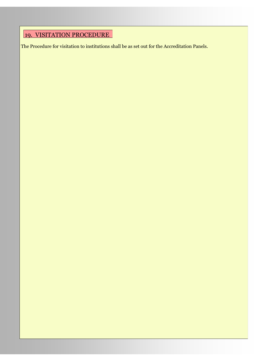### <u>19. VISITATION PROCEDURE</u>

The Procedure for visitation to institutions shall be as set out for the Accreditation Panels.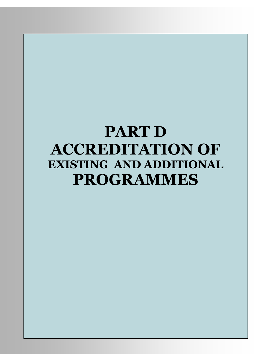# **PART D ACCREDITATION OF EXISTING AND ADDITIONAL PROGRAMMES**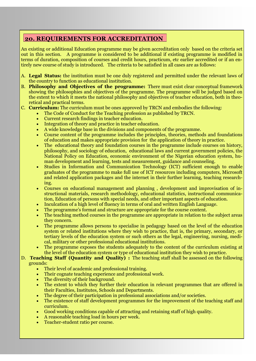### 20 **20. REQUIREMENTS FOR ACCREDITATION**

An existing or additional Education programme may be given accreditation only based on the criteria set out in this section. A programme is considered to be additional if existing programme is modified in terms of duration, composition of courses and credit hours, practicum, etc earlier accredited or if an entirely new course of study is introduced. The criteria to be satisfied in all cases are as follows:

- A. **Legal Status:** the institution must be one duly registered and permitted under the relevant laws of the country to function as educational institution.
- B. **Philosophy and Objectives of the programme:** There must exist clear conceptual framework showing the philosophies and objectives of the programme. The programme will be judged based on the extent to which it meets the national philosophy and objectives of teacher education, both in theoretical and practical terms.
- C. **Curriculum:** The curriculum must be ones approved by TRCN and embodies the following:
	- The Code of Conduct for the Teaching profession as published by TRCN.
	- Current research findings in teacher education.
	- Integration of theory and practice in teacher education.
	- A wide knowledge base in the divisions and components of the programme.
	- Course content of the programme includes the principles, theories, methods and foundations of education and makes appropriate provision for the application of theory in practice.
	- The educational theory and foundation courses in the programme include courses on history, philosophy, and sociology of education, educational laws and current government policies, the National Policy on Education, economic environment of the Nigerian education system, human development and learning, tests and measurement, guidance and counseling.
	- Studies in Information and Communication Technology (ICT) sufficient enough to enable graduates of the programme to make full use of ICT resources including computers, Microsoft and related application packages and the internet in their further learning, teaching researching.
	- Courses on educational management and planning , development and improvisation of instructional materials, research methodology, educational statistics, instructional communication, Education of persons with special needs, and other important aspects of education.
	- Inculcation of a high level of fluency in terms of oral and written English Language.
	- The programme's format and structure are appropriate for the course content.
	- The teaching method courses in the programme are appropriate in relation to the subject areas they concern.
	- The programme allows persons to specialise in pedagogy based on the level of the education system or related institutions where they wish to practice, that is, the primary, secondary, or tertiary levels of the education system or such others as the legal, engineering, nursing, medical, military or other professional educational institutions.
	- The programme exposes the students adequately to the content of the curriculum existing at the level of the education system or type of educational institution they wish to practice.

#### D. **Teaching Staff (Quantity and Quality) :** The teaching staff shall be assessed on the following grounds:

- Their level of academic and professional training.
- Their cognate teaching experience and professional work.
- The diversity of their background.
- The extent to which they further their education in relevant programmes that are offered in their Faculties, Institutes, Schools and Departments.
- The degree of their participation in professional associations and/or societies.
- The existence of staff development programmes for the improvement of the teaching staff and curriculum.
- Good working conditions capable of attracting and retaining staff of high quality.
- A reasonable teaching load in hours per week.
- Teacher-student ratio per course.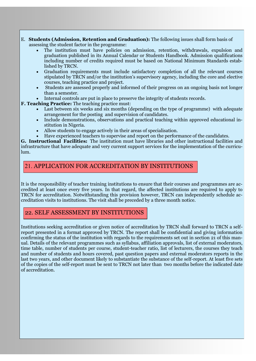- 21 E. **Students (Admission, Retention and Graduation):** The following issues shall form basis of assessing the student factor in the programme:
	- The institution must have policies on admission, retention, withdrawals, expulsion and graduation published in its Annual Calendar or Students Handbook. Admission qualifications including number of credits required must be based on National Minimum Standards established by TRCN.
	- Graduation requirements must include satisfactory completion of all the relevant courses stipulated by TRCN and/or the institution's supervisory agency, including the core and elective courses, teaching practice and project.
	- Students are assessed properly and informed of their progress on an ongoing basis not longer than a semester.
	- Internal controls are put in place to preserve the integrity of students records.

**F. Teaching Practice:** The teaching practice must:

- Last between six weeks and six months (depending on the type of programme) with adequate arrangement for the posting and supervision of candidates.
- Include demonstrations, observations and practical teaching within approved educational institution in Nigeria.
- Allow students to engage actively in their areas of specialisation.
- Have experienced teachers to supervise and report on the performance of the candidates.

**G. Instructional Facilities:** The institution must have libraries and other instructional facilities and infrastructure that have adequate and very current support services for the implementation of the curriculum.

### 21. APPLICATION FOR ACCREDITATION BY INSTITUTIONS

It is the responsibility of teacher training institutions to ensure that their courses and programmes are accredited at least once every five years. In that regard, the affected institutions are required to apply to TRCN for accreditation. Notwithstanding this provision however, TRCN can independently schedule accreditation visits to institutions. The visit shall be preceded by a three month notice.

### 22. SELF ASSESSMENT BY INSTITUTIONS

Institutions seeking accreditation or given notice of accreditation by TRCN shall forward to TRCN a selfreport presented in a format approved by TRCN. The report shall be confidential and giving information confirming the status of the institution with regards to the requirements set out in section 21 of this manual. Details of the relevant programmes such as syllabus, affiliation approvals, list of external moderators, time table, number of students per course, student-teacher ratio, list of lecturers, the courses they teach and number of students and hours covered, past question papers and external moderators reports in the last two years, and other document likely to substantiate the substance of the self-report. At least five sets of the copies of the self-report must be sent to TRCN not later than two months before the indicated date of accreditation.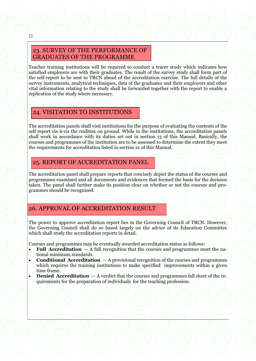#### 23. SURVEY OF THE PERFORMANCE OF GRADUATES OF THE PROGRAMME Teacher training institutions will be required to conduct a tracer study which indicates how satisfied employers are with their graduates. The result of the survey study shall form part of the self-report to be sent to TRCN ahead of the accreditation exercise. The full details of the survey instruments, analytical techniques, data of the graduates and their employers and other vital information relating to the study shall be forwarded together with the report to enable a replication of the study where necessary.

22

## 24. VISITATION TO INSTITUTIONS

The accreditation panels shall visit institutions for the purpose of evaluating the contents of the self report vis-à-vis the realities on ground. While in the institutions, the accreditation panels shall work in accordance with its duties set out in section 13 of this Manual. Basically, the courses and programmes of the institution are to be assessed to determine the extent they meet the requirements for accreditation listed in section 21 of this Manual.

## 25. REPORT OF ACCREDITATION PANEL

The accreditation panel shall prepare reports that concisely depict the status of the courses and programmes examined and all documents and evidences that formed the basis for the decision taken. The panel shall further make its position clear on whether or not the courses and programmes should be recognised.

## 26. APPROVAL OF ACCREDITATION RESULT

The power to approve accreditation report lies in the Governing Council of TRCN. However, the Governing Council shall do so based largely on the advice of its Education Committee which shall study the accreditation reports in detail.

Courses and programmes may be eventually awarded accreditation status as follows:

- **Full Accreditation**  A full recognition that the courses and programmes meet the national minimum standards.
- **Conditional Accreditation**  A provisional recognition of the courses and programmes which requires the training institutions to make specified improvements within a given time frame.
- **Denied Accreditation** A verdict that the courses and programmes fall short of the requirements for the preparation of individuals for the teaching profession.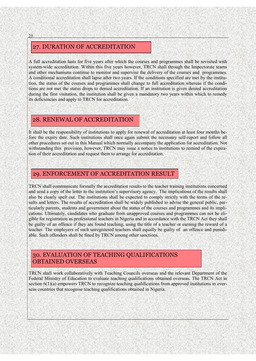### 27. DURATION OF ACCREDITATION

A full accreditation lasts for five years after which the courses and programmes shall be revisited with system-wide accreditation. Within this five years however, TRCN shall through the Inspectorate teams and other mechanisms continue to monitor and supervise the delivery of the courses and programmes. A conditional accreditation shall lapse after two years. If the conditions specified are met by the institution, the status of the courses and programmes shall change to full accreditation whereas if the conditions are not met the status drops to denied accreditation. If an institution is given denied accreditation during the first visitation, the institution shall be given a mandatory two years within which to remedy its deficiencies and apply to TRCN for accreditation.

### 28. RENEWAL OF ACCREDITATION

It shall be the responsibility of institutions to apply for renewal of accreditation at least four months before the expiry date. Such institutions shall once again submit the necessary self-report and follow all other procedures set out in this Manual which normally accompany the application for accreditation. Not withstanding this provision, however, TRCN may issue a notice to institutions to remind of the expiration of their accreditation and request them to arrange for accreditation.

### 29. ENFORCEMENT OF ACCREDITATION RESULT

TRCN shall communicate formally the accreditation results to the teacher training institutions concerned and send a copy of the letter to the institution's supervisory agency. The implications of the results shall also be clearly spelt out. The institutions shall be expected to comply strictly with the terms of the results and letters. The results of accreditation shall be widely published to advise the general public, particularly parents, students and government about the status of the courses and programmes and its implications. Ultimately, candidates who graduate from unapproved courses and programmes can not be eligible for registration as professional teachers in Nigeria and in accordance with the TRCN Act they shall be guilty of an offence if they are found teaching, using the title of a teacher or earning the reward of a teacher. The employers of such unregistered teachers shall equally be guilty of an offence and punishable. Such offenders shall be fined by TRCN among other sanctions.

### 30. EVALUATION OF TEACHING QUALIFICATIONS OBTAINED OVERSEAS

TRCN shall work collaboratively with Teaching Councils overseas and the relevant Department of the Federal Ministry of Education to evaluate teaching qualifications obtained overseas. The TRCN Act in section  $6(1)(a)$  empowers TRCN to recognize teaching qualifications from approved institutions in overseas countries that recognise teaching qualifications obtained in Nigeria.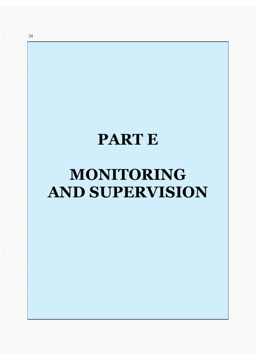# **PART E**

24

# **MONITORING AND SUPERVISION**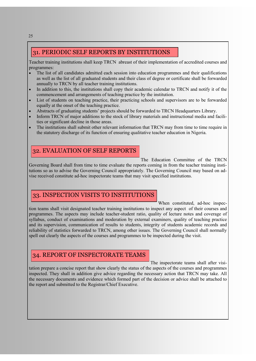### 31. PERIODIC SELF REPORTS BY INSTITUTIONS

Teacher training institutions shall keep TRCN abreast of their implementation of accredited courses and programmes:

- The list of all candidates admitted each session into education programmes and their qualifications as well as the list of all graduated students and their class of degree or certificate shall be forwarded annually to TRCN by all teacher training institutions.
- In addition to this, the institutions shall copy their academic calendar to TRCN and notify it of the commencement and arrangements of teaching practice by the institution.
- List of students on teaching practice, their practicing schools and supervisors are to be forwarded equally at the onset of the teaching practice.
- Abstracts of graduating students' projects should be forwarded to TRCN Headquarters Library.
- Inform TRCN of major additions to the stock of library materials and instructional media and facilities or significant decline in those areas.
- The institutions shall submit other relevant information that TRCN may from time to time require in the statutory discharge of its function of ensuring qualitative teacher education in Nigeria.

#### 32. EVALUATION OF SELF REPORTS

The Education Committee of the TRCN

Governing Board shall from time to time evaluate the reports coming in from the teacher training institutions so as to advise the Governing Council appropriately. The Governing Council may based on advise received constitute ad-hoc inspectorate teams that may visit specified institutions.

### 33. INSPECTION VISITS TO INSTITUTIONS

When constituted, ad-hoc inspection teams shall visit designated teacher training institutions to inspect any aspect of their courses and programmes. The aspects may include teacher-student ratio, quality of lecture notes and coverage of syllabus, conduct of examinations and moderation by external examiners, quality of teaching practice and its supervision, communication of results to students, integrity of students academic records and reliability of statistics forwarded to TRCN, among other issues. The Governing Council shall normally spell out clearly the aspects of the courses and programmes to be inspected during the visit.

### 34. REPORT OF INSPECTORATE TEAMS

The inspectorate teams shall after visitation prepare a concise report that show clearly the status of the aspects of the courses and programmes inspected. They shall in addition give advice regarding the necessary action that TRCN may take. All the necessary documents and evidence which formed part of the decision or advice shall be attached to the report and submitted to the Registrar/Chief Executive.